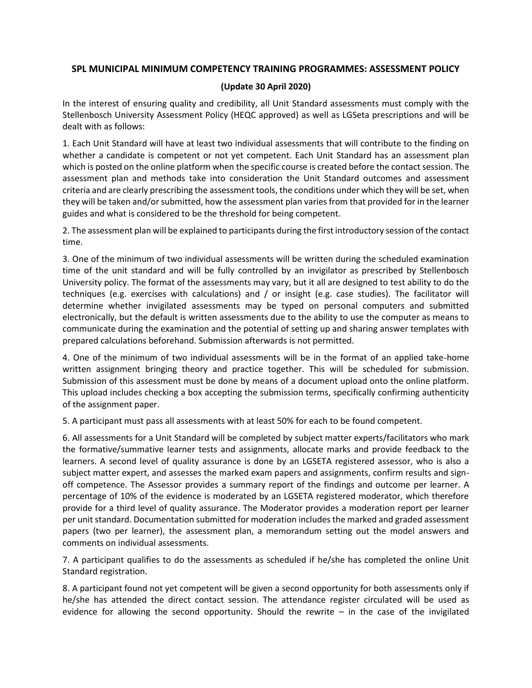## **SPL MUNICIPAL MINIMUM COMPETENCY TRAINING PROGRAMMES: ASSESSMENT POLICY**

## **(Update 30 April 2020)**

In the interest of ensuring quality and credibility, all Unit Standard assessments must comply with the Stellenbosch University Assessment Policy (HEQC approved) as well as LGSeta prescriptions and will be dealt with as follows:

1. Each Unit Standard will have at least two individual assessments that will contribute to the finding on whether a candidate is competent or not yet competent. Each Unit Standard has an assessment plan which is posted on the online platform when the specific course is created before the contact session. The assessment plan and methods take into consideration the Unit Standard outcomes and assessment criteria and are clearly prescribing the assessment tools, the conditions under which they will be set, when they will be taken and/or submitted, how the assessment plan varies from that provided for in the learner guides and what is considered to be the threshold for being competent.

2. The assessment plan will be explained to participants during the first introductory session of the contact time.

3. One of the minimum of two individual assessments will be written during the scheduled examination time of the unit standard and will be fully controlled by an invigilator as prescribed by Stellenbosch University policy. The format of the assessments may vary, but it all are designed to test ability to do the techniques (e.g. exercises with calculations) and / or insight (e.g. case studies). The facilitator will determine whether invigilated assessments may be typed on personal computers and submitted electronically, but the default is written assessments due to the ability to use the computer as means to communicate during the examination and the potential of setting up and sharing answer templates with prepared calculations beforehand. Submission afterwards is not permitted.

4. One of the minimum of two individual assessments will be in the format of an applied take-home written assignment bringing theory and practice together. This will be scheduled for submission. Submission of this assessment must be done by means of a document upload onto the online platform. This upload includes checking a box accepting the submission terms, specifically confirming authenticity of the assignment paper.

5. A participant must pass all assessments with at least 50% for each to be found competent.

6. All assessments for a Unit Standard will be completed by subject matter experts/facilitators who mark the formative/summative learner tests and assignments, allocate marks and provide feedback to the learners. A second level of quality assurance is done by an LGSETA registered assessor, who is also a subject matter expert, and assesses the marked exam papers and assignments, confirm results and signoff competence. The Assessor provides a summary report of the findings and outcome per learner. A percentage of 10% of the evidence is moderated by an LGSETA registered moderator, which therefore provide for a third level of quality assurance. The Moderator provides a moderation report per learner per unit standard. Documentation submitted for moderation includes the marked and graded assessment papers (two per learner), the assessment plan, a memorandum setting out the model answers and comments on individual assessments.

7. A participant qualifies to do the assessments as scheduled if he/she has completed the online Unit Standard registration.

8. A participant found not yet competent will be given a second opportunity for both assessments only if he/she has attended the direct contact session. The attendance register circulated will be used as evidence for allowing the second opportunity. Should the rewrite  $-$  in the case of the invigilated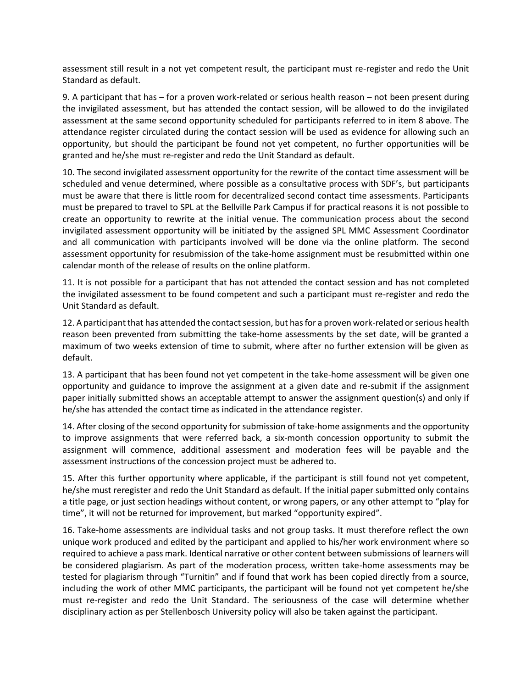assessment still result in a not yet competent result, the participant must re-register and redo the Unit Standard as default.

9. A participant that has – for a proven work-related or serious health reason – not been present during the invigilated assessment, but has attended the contact session, will be allowed to do the invigilated assessment at the same second opportunity scheduled for participants referred to in item 8 above. The attendance register circulated during the contact session will be used as evidence for allowing such an opportunity, but should the participant be found not yet competent, no further opportunities will be granted and he/she must re-register and redo the Unit Standard as default.

10. The second invigilated assessment opportunity for the rewrite of the contact time assessment will be scheduled and venue determined, where possible as a consultative process with SDF's, but participants must be aware that there is little room for decentralized second contact time assessments. Participants must be prepared to travel to SPL at the Bellville Park Campus if for practical reasons it is not possible to create an opportunity to rewrite at the initial venue. The communication process about the second invigilated assessment opportunity will be initiated by the assigned SPL MMC Assessment Coordinator and all communication with participants involved will be done via the online platform. The second assessment opportunity for resubmission of the take-home assignment must be resubmitted within one calendar month of the release of results on the online platform.

11. It is not possible for a participant that has not attended the contact session and has not completed the invigilated assessment to be found competent and such a participant must re-register and redo the Unit Standard as default.

12. A participant that has attended the contact session, but has for a proven work-related or serious health reason been prevented from submitting the take-home assessments by the set date, will be granted a maximum of two weeks extension of time to submit, where after no further extension will be given as default.

13. A participant that has been found not yet competent in the take-home assessment will be given one opportunity and guidance to improve the assignment at a given date and re-submit if the assignment paper initially submitted shows an acceptable attempt to answer the assignment question(s) and only if he/she has attended the contact time as indicated in the attendance register.

14. After closing of the second opportunity for submission of take-home assignments and the opportunity to improve assignments that were referred back, a six-month concession opportunity to submit the assignment will commence, additional assessment and moderation fees will be payable and the assessment instructions of the concession project must be adhered to.

15. After this further opportunity where applicable, if the participant is still found not yet competent, he/she must reregister and redo the Unit Standard as default. If the initial paper submitted only contains a title page, or just section headings without content, or wrong papers, or any other attempt to "play for time", it will not be returned for improvement, but marked "opportunity expired".

16. Take-home assessments are individual tasks and not group tasks. It must therefore reflect the own unique work produced and edited by the participant and applied to his/her work environment where so required to achieve a pass mark. Identical narrative or other content between submissions of learners will be considered plagiarism. As part of the moderation process, written take-home assessments may be tested for plagiarism through "Turnitin" and if found that work has been copied directly from a source, including the work of other MMC participants, the participant will be found not yet competent he/she must re-register and redo the Unit Standard. The seriousness of the case will determine whether disciplinary action as per Stellenbosch University policy will also be taken against the participant.